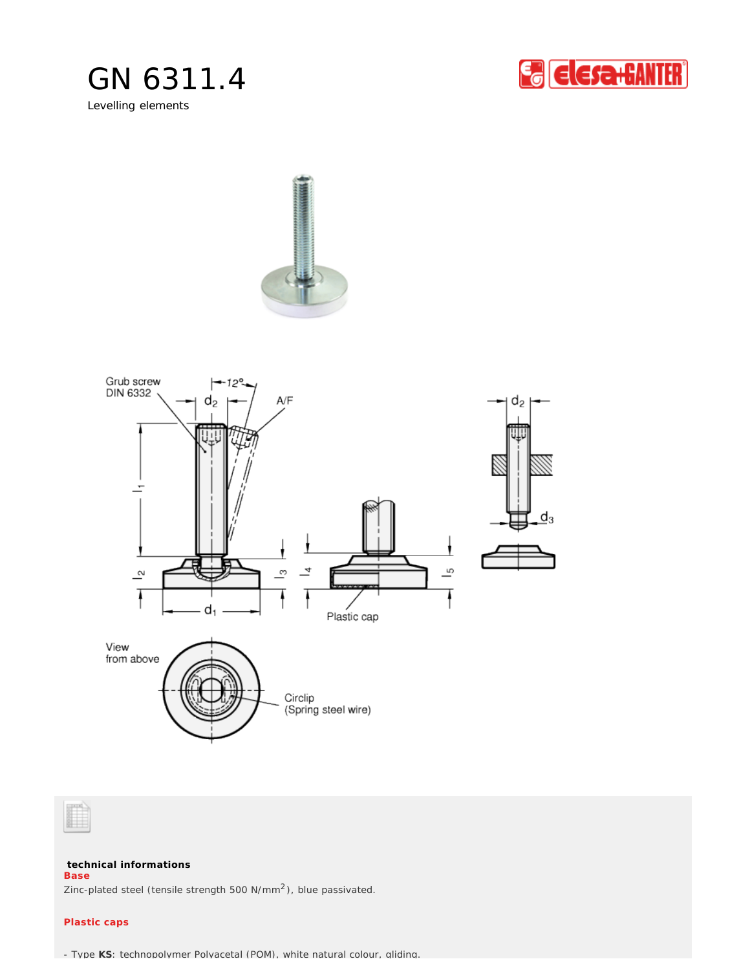

Levelling elements









**technical informations**

**Base**

Zinc-plated steel (tensile strength 500  $N/mm^2$ ), blue passivated.

## **Plastic caps**

- Type **KS**: technopolymer Polyacetal (POM), white natural colour, gliding.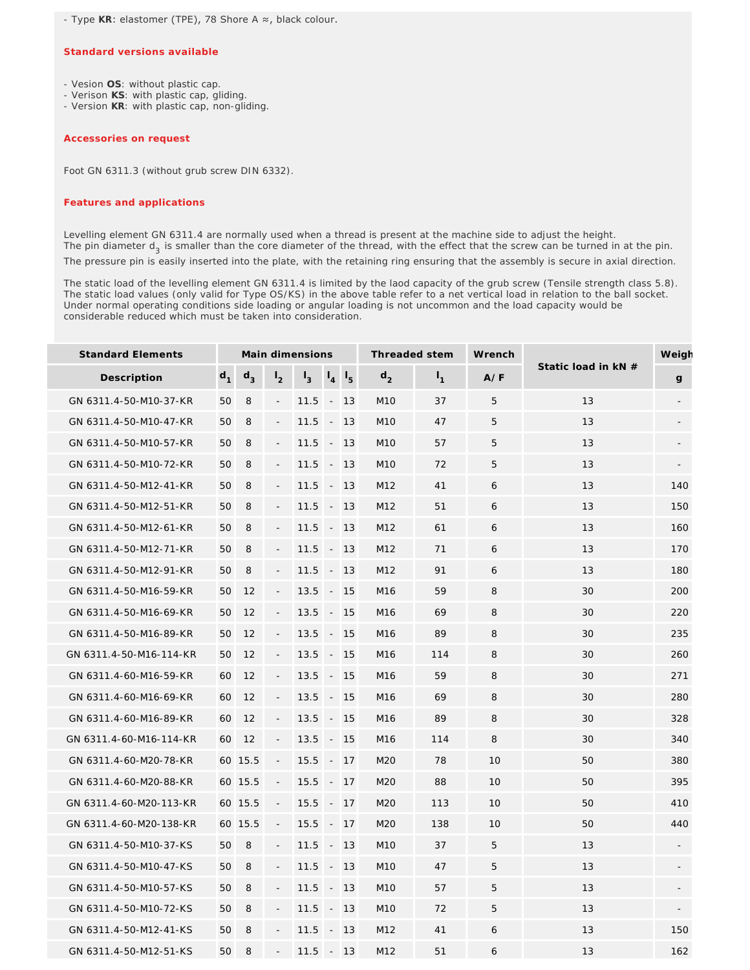- Type **KR**: elastomer (TPE), 78 Shore A ≈, black colour.

## **Standard versions available**

- Vesion **OS**: without plastic cap.

- Verison **KS**: with plastic cap, gliding.
- Version **KR**: with plastic cap, non-gliding.

## *Accessories on request*

Foot GN 6311.3 (without grub screw DIN 6332).

## *Features and applications*

Levelling element GN 6311.4 are normally used when a thread is present at the machine side to adjust the height. The pin diameter d<sub>3</sub> is smaller than the core diameter of the thread, with the effect that the screw can be turned in at the pin. The pressure pin is easily inserted into the plate, with the retaining ring ensuring that the assembly is secure in axial direction.

The static load of the levelling element GN 6311.4 is limited by the laod capacity of the grub screw (Tensile strength class 5.8). The static load values (only valid for Type OS/KS) in the above table refer to a net vertical load in relation to the ball socket. Under normal operating conditions side loading or angular loading is not uncommon and the load capacity would be considerable reduced which must be taken into consideration.

| <b>Standard Elements</b> |       |         |                          | Main dimensions |                          |               | Threaded stem   |       | Wrench |                     | Weigh |
|--------------------------|-------|---------|--------------------------|-----------------|--------------------------|---------------|-----------------|-------|--------|---------------------|-------|
| Description              | $d_1$ | $d_3$   | I <sub>2</sub>           | $I_3$           | $\mathsf{I}_4$           | $\frac{1}{5}$ | $d_2$           | $I_1$ | A/F    | Static load in kN # | g     |
| GN 6311.4-50-M10-37-KR   | 50    | 8       | $\blacksquare$           | 11.5            |                          | $-13$         | M <sub>10</sub> | 37    | 5      | 13                  |       |
| GN 6311.4-50-M10-47-KR   | 50    | 8       |                          | 11.5            | $\overline{\phantom{a}}$ | 13            | M10             | 47    | 5      | 13                  |       |
| GN 6311.4-50-M10-57-KR   | 50    | 8       | $\blacksquare$           | 11.5            | $\sim$                   | 13            | M10             | 57    | 5      | 13                  |       |
| GN 6311.4-50-M10-72-KR   | 50    | 8       |                          | 11.5            | $\overline{\phantom{a}}$ | 13            | M <sub>10</sub> | 72    | 5      | 13                  |       |
| GN 6311.4-50-M12-41-KR   | 50    | 8       |                          | 11.5            |                          | $-13$         | M12             | 41    | 6      | 13                  | 140   |
| GN 6311.4-50-M12-51-KR   | 50    | 8       |                          | 11.5            | $\overline{\phantom{a}}$ | 13            | M12             | 51    | 6      | 13                  | 150   |
| GN 6311.4-50-M12-61-KR   | 50    | 8       |                          | 11.5            | $\overline{\phantom{a}}$ | 13            | M12             | 61    | 6      | 13                  | 160   |
| GN 6311.4-50-M12-71-KR   | 50    | 8       |                          | 11.5            | $\overline{\phantom{a}}$ | 13            | M12             | 71    | 6      | 13                  | 170   |
| GN 6311.4-50-M12-91-KR   | 50    | 8       |                          | 11.5            | $\overline{\phantom{a}}$ | 13            | M12             | 91    | 6      | 13                  | 180   |
| GN 6311.4-50-M16-59-KR   | 50    | 12      | $\blacksquare$           | 13.5            | $\overline{\phantom{a}}$ | 15            | M16             | 59    | 8      | 30                  | 200   |
| GN 6311.4-50-M16-69-KR   | 50    | 12      |                          | 13.5            | $\overline{\phantom{a}}$ | 15            | M <sub>16</sub> | 69    | 8      | 30                  | 220   |
| GN 6311.4-50-M16-89-KR   | 50    | 12      | $\blacksquare$           | 13.5            | $\overline{\phantom{a}}$ | 15            | M16             | 89    | 8      | 30                  | 235   |
| GN 6311.4-50-M16-114-KR  | 50    | 12      | $\overline{\phantom{a}}$ | 13.5            | $\overline{\phantom{a}}$ | 15            | M <sub>16</sub> | 114   | 8      | 30                  | 260   |
| GN 6311.4-60-M16-59-KR   | 60    | 12      | $\overline{\phantom{a}}$ | 13.5            |                          | $-15$         | M <sub>16</sub> | 59    | 8      | 30                  | 271   |
| GN 6311.4-60-M16-69-KR   | 60    | 12      |                          | 13.5            | $\overline{\phantom{a}}$ | 15            | M16             | 69    | 8      | 30                  | 280   |
| GN 6311.4-60-M16-89-KR   | 60    | 12      |                          | 13.5            | $\overline{\phantom{a}}$ | 15            | M16             | 89    | 8      | 30                  | 328   |
| GN 6311.4-60-M16-114-KR  | 60    | 12      |                          | 13.5            | $\overline{\phantom{a}}$ | 15            | M16             | 114   | 8      | 30                  | 340   |
| GN 6311.4-60-M20-78-KR   |       | 60 15.5 |                          | 15.5            | $\overline{\phantom{a}}$ | 17            | M20             | 78    | 10     | 50                  | 380   |
| GN 6311.4-60-M20-88-KR   |       | 60 15.5 |                          | 15.5            | $\overline{\phantom{a}}$ | 17            | M20             | 88    | 10     | 50                  | 395   |
| GN 6311.4-60-M20-113-KR  |       | 60 15.5 | $\overline{\phantom{a}}$ | 15.5            | $\overline{\phantom{a}}$ | 17            | M20             | 113   | 10     | 50                  | 410   |
| GN 6311.4-60-M20-138-KR  |       | 60 15.5 | $\overline{\phantom{a}}$ | 15.5            | $\sim$                   | 17            | M20             | 138   | 10     | 50                  | 440   |
| GN 6311.4-50-M10-37-KS   | 50    | 8       |                          | 11.5            | $\overline{\phantom{a}}$ | 13            | M <sub>10</sub> | 37    | 5      | 13                  |       |
| GN 6311.4-50-M10-47-KS   | 50    | 8       | $\overline{\phantom{a}}$ | 11.5            |                          | $-13$         | M <sub>10</sub> | 47    | 5      | 13                  |       |
| GN 6311.4-50-M10-57-KS   | 50    | 8       |                          | 11.5            | $\overline{\phantom{a}}$ | 13            | M10             | 57    | 5      | 13                  |       |
| GN 6311.4-50-M10-72-KS   | 50    | 8       |                          | 11.5            |                          | $-13$         | M10             | 72    | 5      | 13                  |       |
| GN 6311.4-50-M12-41-KS   | 50    | 8       |                          | 11.5            | $\overline{\phantom{a}}$ | 13            | M12             | 41    | 6      | 13                  | 150   |
| GN 6311.4-50-M12-51-KS   | 50    | 8       |                          | 11.5            | $\overline{\phantom{a}}$ | 13            | M12             | 51    | 6      | 13                  | 162   |